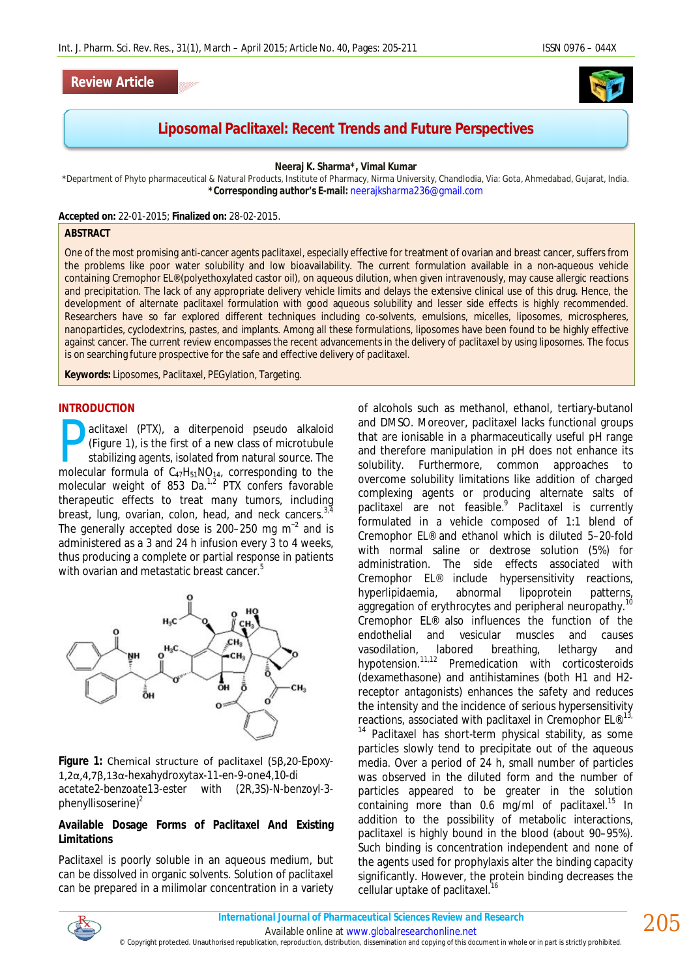### **Review Article**



# **Liposomal Paclitaxel: Recent Trends and Future Perspectives**

**Neeraj K. Sharma\*, Vimal Kumar**

\*Department of Phyto pharmaceutical & Natural Products, Institute of Pharmacy, Nirma University, Chandlodia, Via: Gota, Ahmedabad, Gujarat, India. **\*Corresponding author's E-mail:** neerajksharma236@gmail.com

**Accepted on:** 22-01-2015; **Finalized on:** 28-02-2015.

#### **ABSTRACT**

One of the most promising anti-cancer agents paclitaxel, especially effective for treatment of ovarian and breast cancer, suffers from the problems like poor water solubility and low bioavailability. The current formulation available in a non-aqueous vehicle containing Cremophor EL® (polyethoxylated castor oil), on aqueous dilution, when given intravenously, may cause allergic reactions and precipitation. The lack of any appropriate delivery vehicle limits and delays the extensive clinical use of this drug. Hence, the development of alternate paclitaxel formulation with good aqueous solubility and lesser side effects is highly recommended. Researchers have so far explored different techniques including co-solvents, emulsions, micelles, liposomes, microspheres, nanoparticles, cyclodextrins, pastes, and implants. Among all these formulations, liposomes have been found to be highly effective against cancer. The current review encompasses the recent advancements in the delivery of paclitaxel by using liposomes. The focus is on searching future prospective for the safe and effective delivery of paclitaxel.

**Keywords:** Liposomes, Paclitaxel, PEGylation, Targeting.

#### **INTRODUCTION**

aclitaxel (PTX), a diterpenoid pseudo alkaloid (Figure 1), is the first of a new class of microtubule stabilizing agents, isolated from natural source. The aclitaxel (PTX), a diterpenoid pseudo alkaloid (Figure 1), is the first of a new class of microtubule stabilizing agents, isolated from natural source. The molecular formula of  $C_{47}H_{51}NO_{14}$ , corresponding to the molecular weight of 853 Da.<sup>1,2</sup> PTX confers favorable therapeutic effects to treat many tumors, including breast, lung, ovarian, colon, head, and neck cancers.<sup>3,4</sup> The generally accepted dose is 200–250 mg  $m<sup>-2</sup>$  and is administered as a 3 and 24 h infusion every 3 to 4 weeks, thus producing a complete or partial response in patients with ovarian and metastatic breast cancer. 5



**Figure 1:** Chemical structure of paclitaxel (5β,20-Epoxy-1,2α,4,7β,13α-hexahydroxytax-11-en-9-one4,10-di acetate2-benzoate13-ester with (2*R*,3*S*)-*N*-benzoyl-3 phenyllisoserine)<sup>2</sup>

### **Available Dosage Forms of Paclitaxel And Existing Limitations**

Paclitaxel is poorly soluble in an aqueous medium, but can be dissolved in organic solvents. Solution of paclitaxel can be prepared in a milimolar concentration in a variety of alcohols such as methanol, ethanol, tertiary-butanol and DMSO. Moreover, paclitaxel lacks functional groups that are ionisable in a pharmaceutically useful pH range and therefore manipulation in pH does not enhance its solubility. Furthermore, common approaches to overcome solubility limitations like addition of charged complexing agents or producing alternate salts of paclitaxel are not feasible.<sup>9</sup> Paclitaxel is currently formulated in a vehicle composed of 1:1 blend of Cremophor EL® and ethanol which is diluted 5–20-fold with normal saline or dextrose solution (5%) for administration. The side effects associated with<br>Cremophor EL® include hypersensitivity reactions, include hypersensitivity reactions,<br>abnormal lipoprotein patterns, hyperlipidaemia, abnormal lipoprotein patterns, aggregation of erythrocytes and peripheral neuropathy.<sup>10</sup> Cremophor EL® also influences the function of the endothelial and vesicular muscles and causes vasodilation, labored breathing, lethargy and hypotension. 11,12 Premedication with corticosteroids (dexamethasone) and antihistamines (both H1 and H2 receptor antagonists) enhances the safety and reduces the intensity and the incidence of serious hypersensitivity reactions, associated with paclitaxel in Cremophor EL®.<sup>13,</sup>

 $14$  Paclitaxel has short-term physical stability, as some particles slowly tend to precipitate out of the aqueous media. Over a period of 24 h, small number of particles was observed in the diluted form and the number of particles appeared to be greater in the solution containing more than 0.6 mg/ml of paclitaxel.<sup>15</sup> In addition to the possibility of metabolic interactions, paclitaxel is highly bound in the blood (about 90–95%). Such binding is concentration independent and none of the agents used for prophylaxis alter the binding capacity significantly. However, the protein binding decreases the cellular uptake of paclitaxel.<sup>16</sup>



*International Journal of Pharmaceutical Sciences Review and Research*

Available online at www.globalresearchonline.net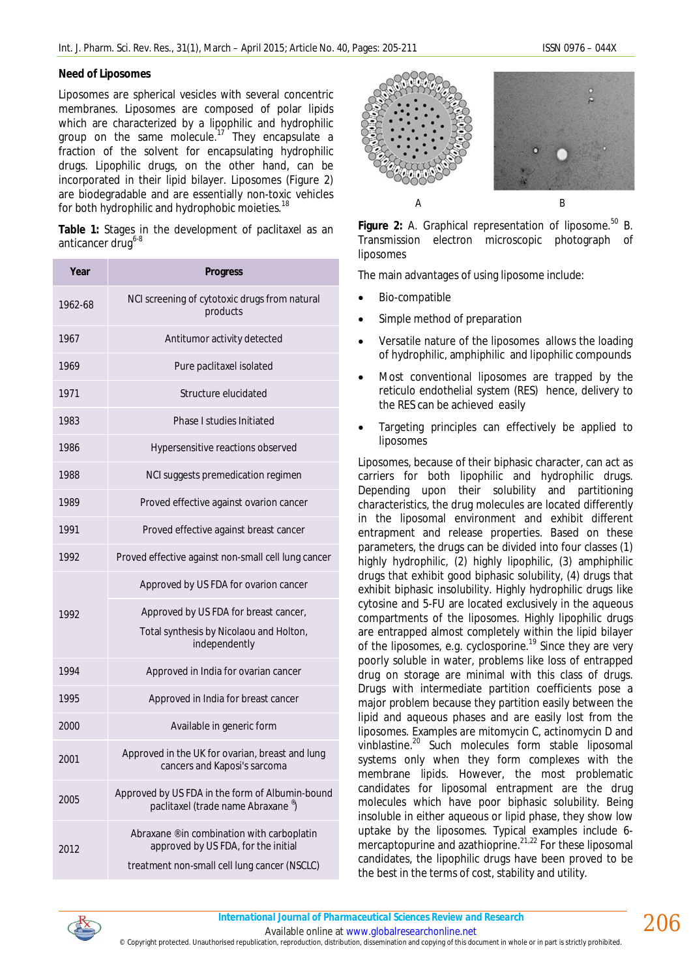Liposomes are spherical vesicles with several concentric membranes. Liposomes are composed of polar lipids which are characterized by a lipophilic and hydrophilic group on the same molecule.<sup>17</sup> They encapsulate a fraction of the solvent for encapsulating hydrophilic drugs. Lipophilic drugs, on the other hand, can be incorporated in their lipid bilayer. Liposomes (Figure 2) are biodegradable and are essentially non-toxic vehicles for both hydrophilic and hydrophobic moieties.<sup>18</sup>

Table 1: Stages in the development of paclitaxel as an anticancer drug<sup>6-8</sup>

| Year    | <b>Progress</b>                                                                     |
|---------|-------------------------------------------------------------------------------------|
| 1962-68 | NCI screening of cytotoxic drugs from natural<br>products                           |
| 1967    | Antitumor activity detected                                                         |
| 1969    | Pure paclitaxel isolated                                                            |
| 1971    | Structure elucidated                                                                |
| 1983    | Phase I studies Initiated                                                           |
| 1986    | Hypersensitive reactions observed                                                   |
| 1988    | NCI suggests premedication regimen                                                  |
| 1989    | Proved effective against ovarion cancer                                             |
| 1991    | Proved effective against breast cancer                                              |
| 1992    | Proved effective against non-small cell lung cancer                                 |
| 1992    | Approved by US FDA for ovarion cancer                                               |
|         | Approved by US FDA for breast cancer,                                               |
|         | Total synthesis by Nicolaou and Holton,<br>independently                            |
| 1994    | Approved in India for ovarian cancer                                                |
| 1995    | Approved in India for breast cancer                                                 |
| 2000    | Available in generic form                                                           |
| 2001    | Approved in the UK for ovarian, breast and lung<br>cancers and Kaposi's sarcoma     |
| 2005    | Approved by US FDA in the form of Albumin-bound<br>paclitaxel (trade name Abraxane) |
| 2012    | Abraxane ® in combination with carboplatin<br>approved by US FDA, for the initial   |
|         | treatment non-small cell lung cancer (NSCLC)                                        |



Figure 2: A. Graphical representation of liposome.<sup>50</sup> B. Transmission electron microscopic photograph of liposomes

The main advantages of using liposome include:

- Bio-compatible
- Simple method of preparation
- Versatile nature of the liposomes allows the loading of hydrophilic, amphiphilic and lipophilic compounds
- Most conventional liposomes are trapped by the reticulo endothelial system (RES) hence, delivery to the RES can be achieved easily
- Targeting principles can effectively be applied to liposomes

Liposomes, because of their biphasic character, can act as carriers for both lipophilic and hydrophilic drugs. Depending upon their solubility and partitioning characteristics, the drug molecules are located differently in the liposomal environment and exhibit different entrapment and release properties. Based on these parameters, the drugs can be divided into four classes (1) highly hydrophilic, (2) highly lipophilic, (3) amphiphilic drugs that exhibit good biphasic solubility, (4) drugs that exhibit biphasic insolubility. Highly hydrophilic drugs like cytosine and 5-FU are located exclusively in the aqueous compartments of the liposomes. Highly lipophilic drugs are entrapped almost completely within the lipid bilayer of the liposomes, e.g. cyclosporine.<sup>19</sup> Since they are very poorly soluble in water, problems like loss of entrapped drug on storage are minimal with this class of drugs. Drugs with intermediate partition coefficients pose a major problem because they partition easily between the lipid and aqueous phases and are easily lost from the liposomes. Examples are mitomycin C, actinomycin D and vinblastine. <sup>20</sup> Such molecules form stable liposomal systems only when they form complexes with the membrane lipids. However, the most problematic candidates for liposomal entrapment are the drug molecules which have poor biphasic solubility. Being insoluble in either aqueous or lipid phase, they show low uptake by the liposomes. Typical examples include 6 mercaptopurine and azathioprine.<sup>21,22</sup> For these liposomal candidates, the lipophilic drugs have been proved to be the best in the terms of cost, stability and utility.



© Copyright protected. Unauthorised republication, reproduction, distribution, dissemination and copying of this document in whole or in part is strictly prohibited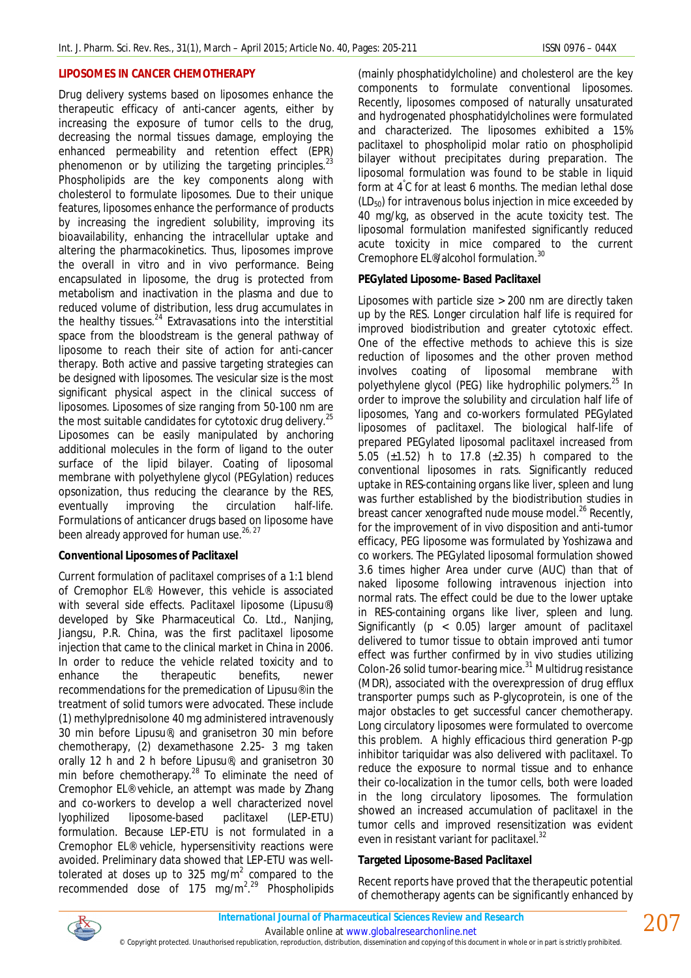### **LIPOSOMES IN CANCER CHEMOTHERAPY**

Drug delivery systems based on liposomes enhance the therapeutic efficacy of anti-cancer agents, either by increasing the exposure of tumor cells to the drug, decreasing the normal tissues damage, employing the enhanced permeability and retention effect (EPR) phenomenon or by utilizing the targeting principles.<sup>23</sup> Phospholipids are the key components along with cholesterol to formulate liposomes. Due to their unique features, liposomes enhance the performance of products by increasing the ingredient solubility, improving its bioavailability, enhancing the intracellular uptake and altering the pharmacokinetics. Thus, liposomes improve the overall *in vitro* and *in vivo* performance. Being encapsulated in liposome, the drug is protected from metabolism and inactivation in the plasma and due to reduced volume of distribution, less drug accumulates in the healthy tissues.<sup>24</sup> Extravasations into the interstitial space from the bloodstream is the general pathway of liposome to reach their site of action for anti-cancer therapy. Both active and passive targeting strategies can be designed with liposomes. The vesicular size is the most significant physical aspect in the clinical success of liposomes. Liposomes of size ranging from 50-100 nm are the most suitable candidates for cytotoxic drug delivery.<sup>25</sup> Liposomes can be easily manipulated by anchoring additional molecules in the form of ligand to the outer surface of the lipid bilayer. Coating of liposomal membrane with polyethylene glycol (PEGylation) reduces opsonization, thus reducing the clearance by the RES, eventually improving the circulation half-life. Formulations of anticancer drugs based on liposome have been already approved for human use.<sup>26, 27</sup>

### **Conventional Liposomes of Paclitaxel**

Current formulation of paclitaxel comprises of a 1:1 blend of Cremophor EL®. However, this vehicle is associated with several side effects. Paclitaxel liposome (Lipusu®) developed by Sike Pharmaceutical Co. Ltd., Nanjing, Jiangsu, P.R. China, was the first paclitaxel liposome injection that came to the clinical market in China in 2006. In order to reduce the vehicle related toxicity and to enhance the therapeutic benefits, newer recommendations for the premedication of Lipusu® in the treatment of solid tumors were advocated. These include (1) methylprednisolone 40 mg administered intravenously 30 min before Lipusu®, and granisetron 30 min before chemotherapy, (2) dexamethasone 2.25- 3 mg taken orally 12 h and 2 h before Lipusu®, and granisetron 30 min before chemotherapy.<sup>28</sup> To eliminate the need of Cremophor EL® vehicle, an attempt was made by Zhang and co-workers to develop a well characterized novel lyophilized liposome-based paclitaxel (LEP-ETU) formulation. Because LEP-ETU is not formulated in a Cremophor EL® vehicle, hypersensitivity reactions were avoided. Preliminary data showed that LEP-ETU was welltolerated at doses up to 325 mg/m<sup>2</sup> compared to the recommended dose of 175 mg/m<sup>2,29</sup> Phospholipids (mainly phosphatidylcholine) and cholesterol are the key components to formulate conventional liposomes. Recently, liposomes composed of naturally unsaturated and hydrogenated phosphatidylcholines were formulated and characterized. The liposomes exhibited a 15% paclitaxel to phospholipid molar ratio on phospholipid bilayer without precipitates during preparation. The liposomal formulation was found to be stable in liquid form at 4°C for at least 6 months. The median lethal dose  $(LD_{50})$  for intravenous bolus injection in mice exceeded by 40 mg/kg, as observed in the acute toxicity test. The liposomal formulation manifested significantly reduced acute toxicity in mice compared to the current Cremophore EL®/alcohol formulation.<sup>30</sup>

### **PEGylated Liposome- Based Paclitaxel**

Liposomes with particle size > 200 nm are directly taken up by the RES. Longer circulation half life is required for improved biodistribution and greater cytotoxic effect. One of the effective methods to achieve this is size reduction of liposomes and the other proven method involves coating of liposomal membrane with polyethylene glycol (PEG) like hydrophilic polymers. <sup>25</sup> In order to improve the solubility and circulation half life of liposomes, Yang and co-workers formulated PEGylated liposomes of paclitaxel. The biological half-life of prepared PEGylated liposomal paclitaxel increased from 5.05 (±1.52) h to 17.8 (±2.35) h compared to the conventional liposomes in rats. Significantly reduced uptake in RES-containing organs like liver, spleen and lung was further established by the biodistribution studies in breast cancer xenografted nude mouse model.<sup>26</sup> Recently, for the improvement of *in vivo* disposition and anti-tumor efficacy, PEG liposome was formulated by Yoshizawa and co workers. The PEGylated liposomal formulation showed 3.6 times higher Area under curve (AUC) than that of naked liposome following intravenous injection into normal rats. The effect could be due to the lower uptake in RES-containing organs like liver, spleen and lung. Significantly (p < 0.05) larger amount of paclitaxel delivered to tumor tissue to obtain improved anti tumor effect was further confirmed by *in vivo* studies utilizing Colon-26 solid tumor-bearing mice.<sup>31</sup> Multidrug resistance (MDR), associated with the overexpression of drug efflux transporter pumps such as P-glycoprotein, is one of the major obstacles to get successful cancer chemotherapy. Long circulatory liposomes were formulated to overcome this problem. A highly efficacious third generation P-gp inhibitor tariquidar was also delivered with paclitaxel. To reduce the exposure to normal tissue and to enhance their co-localization in the tumor cells, both were loaded in the long circulatory liposomes. The formulation showed an increased accumulation of paclitaxel in the tumor cells and improved resensitization was evident even in resistant variant for paclitaxel.<sup>32</sup>

### **Targeted Liposome-Based Paclitaxel**

Recent reports have proved that the therapeutic potential of chemotherapy agents can be significantly enhanced by



Available online at www.globalresearchonline.net

© Copyright protected. Unauthorised republication, reproduction, distribution, dissemination and copying of this document in whole or in part is strictly prohibited.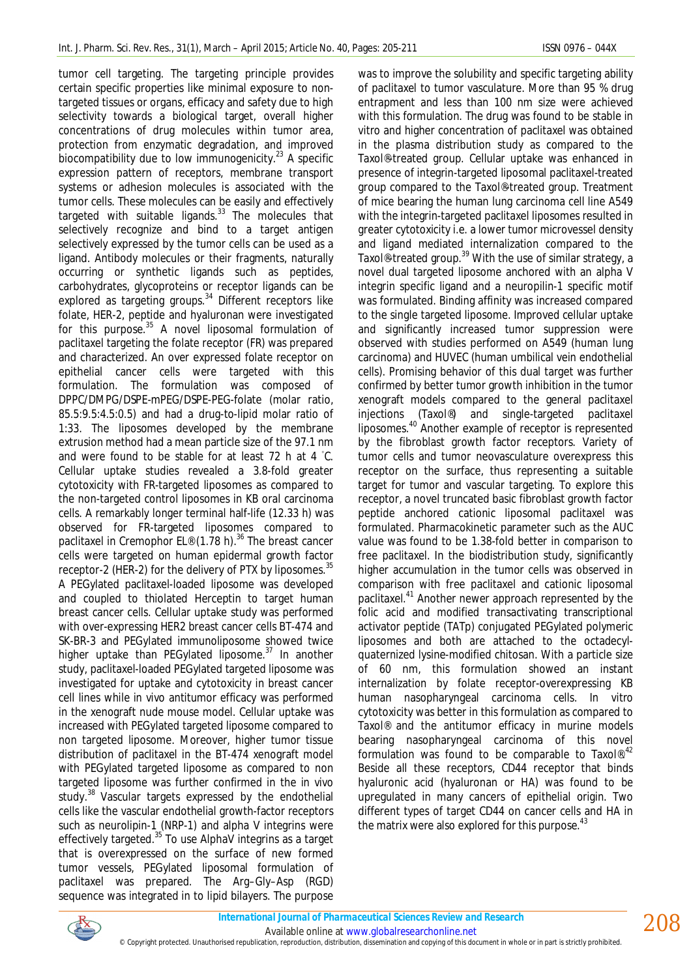tumor cell targeting. The targeting principle provides certain specific properties like minimal exposure to nontargeted tissues or organs, efficacy and safety due to high selectivity towards a biological target, overall higher concentrations of drug molecules within tumor area, protection from enzymatic degradation, and improved biocompatibility due to low immunogenicity.<sup>23</sup> A specific expression pattern of receptors, membrane transport systems or adhesion molecules is associated with the tumor cells. These molecules can be easily and effectively targeted with suitable ligands.<sup>33</sup> The molecules that selectively recognize and bind to a target antigen selectively expressed by the tumor cells can be used as a ligand. Antibody molecules or their fragments, naturally occurring or synthetic ligands such as peptides, carbohydrates, glycoproteins or receptor ligands can be explored as targeting groups.<sup>34</sup> Different receptors like folate, HER-2, peptide and hyaluronan were investigated for this purpose.<sup>35</sup> A novel liposomal formulation of paclitaxel targeting the folate receptor (FR) was prepared and characterized. An over expressed folate receptor on epithelial cancer cells were targeted with this formulation. The formulation was composed of DPPC/DMPG/DSPE-mPEG/DSPE-PEG-folate (molar ratio, 85.5:9.5:4.5:0.5) and had a drug-to-lipid molar ratio of 1:33. The liposomes developed by the membrane extrusion method had a mean particle size of the 97.1 nm and were found to be stable for at least 72 h at 4  $°C$ . Cellular uptake studies revealed a 3.8-fold greater cytotoxicity with FR-targeted liposomes as compared to the non-targeted control liposomes in KB oral carcinoma cells. A remarkably longer terminal half-life (12.33 h) was observed for FR-targeted liposomes compared to paclitaxel in Cremophor EL® (1.78 h).<sup>36</sup> The breast cancer cells were targeted on human epidermal growth factor receptor-2 (HER-2) for the delivery of PTX by liposomes.<sup>35</sup> A PEGylated paclitaxel-loaded liposome was developed and coupled to thiolated Herceptin to target human breast cancer cells. Cellular uptake study was performed with over-expressing HER2 breast cancer cells BT-474 and SK-BR-3 and PEGylated immunoliposome showed twice higher uptake than PEGylated liposome.<sup>37</sup> In another study, paclitaxel-loaded PEGylated targeted liposome was investigated for uptake and cytotoxicity in breast cancer cell lines while *in vivo* antitumor efficacy was performed in the xenograft nude mouse model. Cellular uptake was increased with PEGylated targeted liposome compared to non targeted liposome. Moreover, higher tumor tissue distribution of paclitaxel in the BT-474 xenograft model with PEGylated targeted liposome as compared to non targeted liposome was further confirmed in the *in vivo* study.<sup>38</sup> Vascular targets expressed by the endothelial cells like the vascular endothelial growth-factor receptors such as neurolipin-1 (NRP-1) and alpha V integrins were effectively targeted.<sup>35</sup> To use AlphaV integrins as a target that is overexpressed on the surface of new formed tumor vessels, PEGylated liposomal formulation of paclitaxel was prepared. The Arg–Gly–Asp (RGD) sequence was integrated in to lipid bilayers. The purpose

was to improve the solubility and specific targeting ability of paclitaxel to tumor vasculature. More than 95 % drug entrapment and less than 100 nm size were achieved with this formulation. The drug was found to be stable *in vitro* and higher concentration of paclitaxel was obtained in the plasma distribution study as compared to the Taxol®-treated group. Cellular uptake was enhanced in presence of integrin-targeted liposomal paclitaxel-treated group compared to the Taxol®-treated group. Treatment of mice bearing the human lung carcinoma cell line A549 with the integrin-targeted paclitaxel liposomes resulted in greater cytotoxicity i.e. a lower tumor microvessel density and ligand mediated internalization compared to the Taxol®-treated group.<sup>39</sup> With the use of similar strategy, a novel dual targeted liposome anchored with an alpha V integrin specific ligand and a neuropilin-1 specific motif was formulated. Binding affinity was increased compared to the single targeted liposome. Improved cellular uptake and significantly increased tumor suppression were observed with studies performed on A549 (human lung carcinoma) and HUVEC (human umbilical vein endothelial cells). Promising behavior of this dual target was further confirmed by better tumor growth inhibition in the tumor xenograft models compared to the general paclitaxel injections (Taxol®) and single-targeted paclitaxel liposomes. <sup>40</sup> Another example of receptor is represented by the fibroblast growth factor receptors. Variety of tumor cells and tumor neovasculature overexpress this receptor on the surface, thus representing a suitable target for tumor and vascular targeting. To explore this receptor, a novel truncated basic fibroblast growth factor peptide anchored cationic liposomal paclitaxel was formulated. Pharmacokinetic parameter such as the AUC value was found to be 1.38-fold better in comparison to free paclitaxel. In the biodistribution study, significantly higher accumulation in the tumor cells was observed in comparison with free paclitaxel and cationic liposomal paclitaxel. <sup>41</sup> Another newer approach represented by the folic acid and modified transactivating transcriptional activator peptide (TATp) conjugated PEGylated polymeric liposomes and both are attached to the octadecylquaternized lysine-modified chitosan. With a particle size of 60 nm, this formulation showed an instant internalization by folate receptor-overexpressing KB human nasopharyngeal carcinoma cells. *In vitro* cytotoxicity was better in this formulation as compared to Taxol® and the antitumor efficacy in murine models bearing nasopharyngeal carcinoma of this novel formulation was found to be comparable to Taxol®.<sup>42</sup> Beside all these receptors, CD44 receptor that binds hyaluronic acid (hyaluronan or HA) was found to be upregulated in many cancers of epithelial origin. Two different types of target CD44 on cancer cells and HA in the matrix were also explored for this purpose.<sup>43</sup>



Available online at www.globalresearchonline.net © Copyright protected. Unauthorised republication, reproduction, distribution, dissemination and copying of this document in whole or in part is strictly prohibited.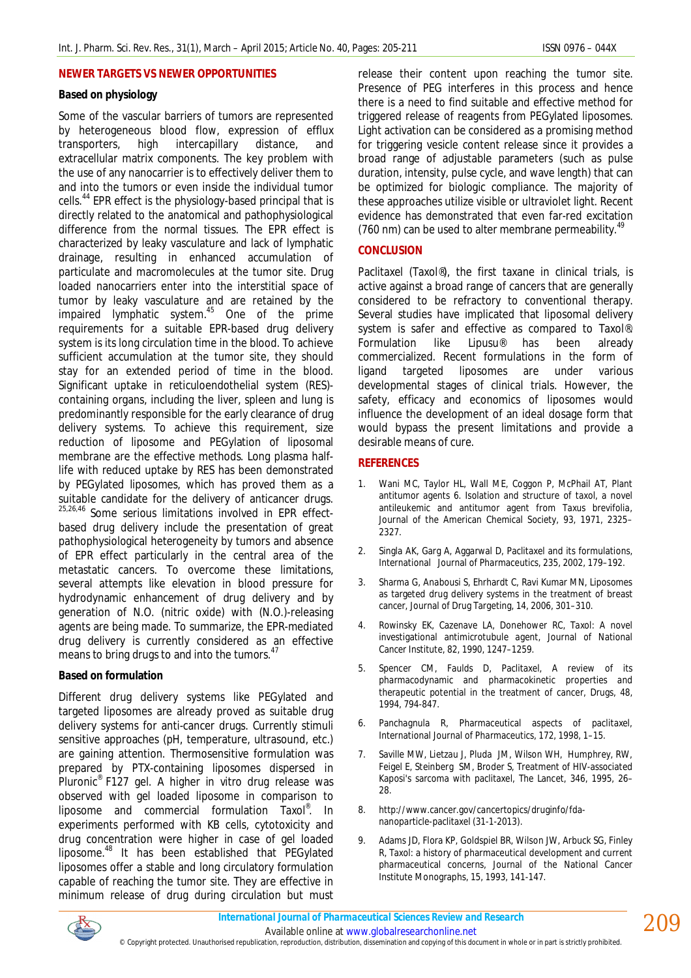### **NEWER TARGETS VS NEWER OPPORTUNITIES**

### **Based on physiology**

Some of the vascular barriers of tumors are represented by heterogeneous blood flow, expression of efflux transporters, high intercapillary distance, and extracellular matrix components. The key problem with the use of any nanocarrier is to effectively deliver them to and into the tumors or even inside the individual tumor cells.<sup>44</sup> EPR effect is the physiology-based principal that is directly related to the anatomical and pathophysiological difference from the normal tissues. The EPR effect is characterized by leaky vasculature and lack of lymphatic drainage, resulting in enhanced accumulation of particulate and macromolecules at the tumor site. Drug loaded nanocarriers enter into the interstitial space of tumor by leaky vasculature and are retained by the impaired lymphatic system. <sup>45</sup> One of the prime requirements for a suitable EPR-based drug delivery system is its long circulation time in the blood. To achieve sufficient accumulation at the tumor site, they should stay for an extended period of time in the blood. Significant uptake in reticuloendothelial system (RES) containing organs, including the liver, spleen and lung is predominantly responsible for the early clearance of drug delivery systems. To achieve this requirement, size reduction of liposome and PEGylation of liposomal membrane are the effective methods. Long plasma halflife with reduced uptake by RES has been demonstrated by PEGylated liposomes, which has proved them as a suitable candidate for the delivery of anticancer drugs. 25,26,46 Some serious limitations involved in EPR effectbased drug delivery include the presentation of great pathophysiological heterogeneity by tumors and absence of EPR effect particularly in the central area of the metastatic cancers. To overcome these limitations, several attempts like elevation in blood pressure for hydrodynamic enhancement of drug delivery and by generation of N.O. (nitric oxide) with (N.O.)-releasing agents are being made. To summarize, the EPR-mediated drug delivery is currently considered as an effective means to bring drugs to and into the tumors.<sup>47</sup>

### **Based on formulation**

Different drug delivery systems like PEGylated and targeted liposomes are already proved as suitable drug delivery systems for anti-cancer drugs. Currently stimuli sensitive approaches (pH, temperature, ultrasound, etc.) are gaining attention. Thermosensitive formulation was prepared by PTX-containing liposomes dispersed in Pluronic® F127 gel. A higher *in vitro* drug release was observed with gel loaded liposome in comparison to liposome and commercial formulation Taxol®. In experiments performed with KB cells, cytotoxicity and drug concentration were higher in case of gel loaded liposome.<sup>48</sup> It has been established that PEGylated liposomes offer a stable and long circulatory formulation capable of reaching the tumor site. They are effective in minimum release of drug during circulation but must

release their content upon reaching the tumor site. Presence of PEG interferes in this process and hence there is a need to find suitable and effective method for triggered release of reagents from PEGylated liposomes. Light activation can be considered as a promising method for triggering vesicle content release since it provides a broad range of adjustable parameters (such as pulse duration, intensity, pulse cycle, and wave length) that can be optimized for biologic compliance. The majority of these approaches utilize visible or ultraviolet light. Recent evidence has demonstrated that even far-red excitation (760 nm) can be used to alter membrane permeability.<sup>49</sup>

## **CONCLUSION**

Paclitaxel (Taxol®), the first taxane in clinical trials, is active against a broad range of cancers that are generally considered to be refractory to conventional therapy. Several studies have implicated that liposomal delivery system is safer and effective as compared to Taxol®. Formulation like Lipusu® has been already commercialized. Recent formulations in the form of ligand targeted liposomes are under various developmental stages of clinical trials. However, the safety, efficacy and economics of liposomes would influence the development of an ideal dosage form that would bypass the present limitations and provide a desirable means of cure.

### **REFERENCES**

- 1. Wani MC, Taylor HL, Wall ME, Coggon P, McPhail AT, Plant antitumor agents 6. Isolation and structure of taxol, a novel antileukemic and antitumor agent from *Taxus brevifolia*, Journal of the American Chemical Society, 93, 1971, 2325– 2327.
- 2. Singla AK, Garg A, Aggarwal D, Paclitaxel and its formulations, International Journal of Pharmaceutics, 235, 2002, 179–192.
- 3. Sharma G, Anabousi S, Ehrhardt C, Ravi Kumar MN, Liposomes as targeted drug delivery systems in the treatment of breast cancer, Journal of Drug Targeting, 14, 2006, 301–310.
- 4. Rowinsky EK, Cazenave LA, Donehower RC, Taxol: A novel investigational antimicrotubule agent, Journal of National Cancer Institute, 82, 1990, 1247–1259.
- 5. Spencer CM, Faulds D, Paclitaxel, A review of its pharmacodynamic and pharmacokinetic properties and therapeutic potential in the treatment of cancer, Drugs, 48, 1994, 794-847.
- 6. Panchagnula R, Pharmaceutical aspects of paclitaxel, International Journal of Pharmaceutics, 172, 1998, 1–15.
- 7. Saville MW, Lietzau J, Pluda JM, Wilson WH, Humphrey, RW, Feigel E, Steinberg SM, Broder S, Treatment of HIV-associated Kaposi's sarcoma with paclitaxel, The Lancet, 346, 1995, 26– 28.
- 8. http://www.cancer.gov/cancertopics/druginfo/fdananoparticle-paclitaxel (31-1-2013).
- 9. Adams JD, Flora KP, Goldspiel BR, Wilson JW, Arbuck SG, Finley R, Taxol: a history of pharmaceutical development and current pharmaceutical concerns, Journal of the National Cancer Institute Monographs, 15, 1993, 141-147.



Available online at www.globalresearchonline.net

© Copyright protected. Unauthorised republication, reproduction, distribution, dissemination and copying of this document in whole or in part is strictly prohibited.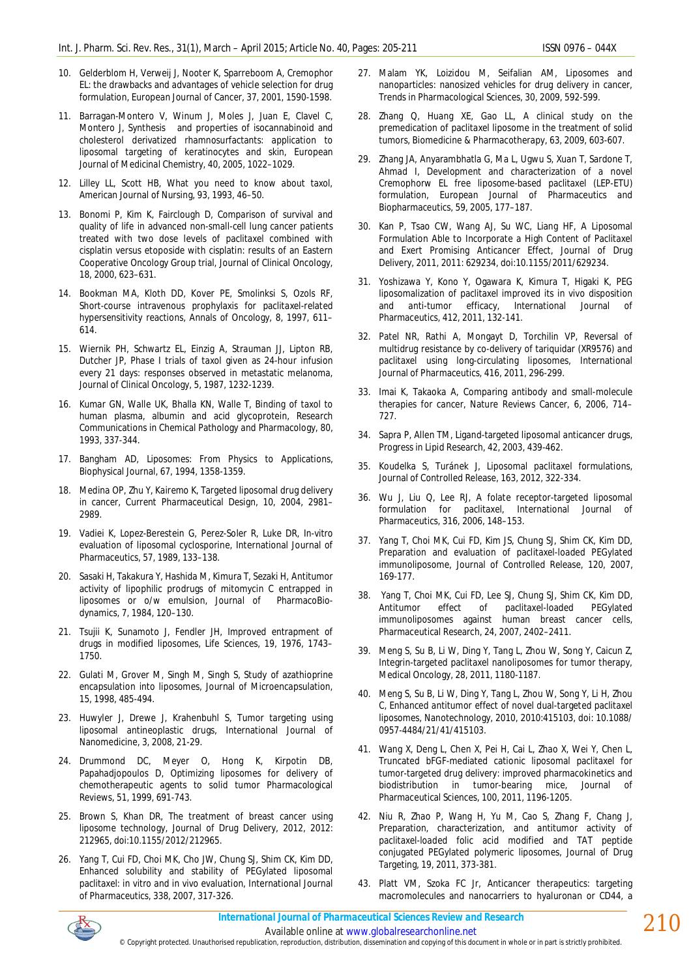- 10. Gelderblom H, Verweij J, Nooter K, Sparreboom A, Cremophor EL: the drawbacks and advantages of vehicle selection for drug formulation, European Journal of Cancer, 37, 2001, 1590-1598.
- 11. Barragan-Montero V, Winum J, Moles J, Juan E, Clavel C, Montero J, Synthesis and properties of isocannabinoid and cholesterol derivatized rhamnosurfactants: application to liposomal targeting of keratinocytes and skin, European Journal of Medicinal Chemistry, 40, 2005, 1022–1029.
- 12. Lilley LL, Scott HB, What you need to know about taxol, American Journal of Nursing, 93, 1993, 46–50.
- 13. Bonomi P, Kim K, Fairclough D, Comparison of survival and quality of life in advanced non-small-cell lung cancer patients treated with two dose levels of paclitaxel combined with cisplatin versus etoposide with cisplatin: results of an Eastern Cooperative Oncology Group trial, Journal of Clinical Oncology, 18, 2000, 623–631.
- 14. Bookman MA, Kloth DD, Kover PE, Smolinksi S, Ozols RF, Short-course intravenous prophylaxis for paclitaxel-related hypersensitivity reactions, Annals of Oncology, 8, 1997, 611– 614.
- 15. Wiernik PH, Schwartz EL, Einzig A, Strauman JJ, Lipton RB, Dutcher JP, Phase I trials of taxol given as 24-hour infusion every 21 days: responses observed in metastatic melanoma, Journal of Clinical Oncology, 5, 1987, 1232-1239.
- 16. Kumar GN, Walle UK, Bhalla KN, Walle T, Binding of taxol to human plasma, albumin and acid glycoprotein, Research Communications in Chemical Pathology and Pharmacology, 80, 1993, 337-344.
- 17. Bangham AD, Liposomes: From Physics to Applications, Biophysical Journal, 67, 1994, 1358-1359.
- 18. Medina OP, Zhu Y, Kairemo K, Targeted liposomal drug delivery in cancer, Current Pharmaceutical Design, 10, 2004, 2981– 2989.
- 19. Vadiei K, Lopez-Berestein G, Perez-Soler R, Luke DR, In-vitro evaluation of liposomal cyclosporine, International Journal of Pharmaceutics, 57, 1989, 133–138.
- 20. Sasaki H, Takakura Y, Hashida M, Kimura T, Sezaki H, Antitumor activity of lipophilic prodrugs of mitomycin C entrapped in liposomes or o/w emulsion, Journal of PharmacoBiodynamics, 7, 1984, 120–130.
- 21. Tsujii K, Sunamoto J, Fendler JH, Improved entrapment of drugs in modified liposomes, Life Sciences, 19, 1976, 1743– 1750.
- 22. Gulati M, Grover M, Singh M, Singh S, Study of azathioprine encapsulation into liposomes, Journal of Microencapsulation, 15, 1998, 485-494.
- 23. Huwyler J, Drewe J, Krahenbuhl S, Tumor targeting using liposomal antineoplastic drugs, International Journal of Nanomedicine, 3, 2008, 21-29.
- 24. Drummond DC, Meyer O, Hong K, Kirpotin DB, Papahadjopoulos D, Optimizing liposomes for delivery of chemotherapeutic agents to solid tumor Pharmacological Reviews, 51, 1999, 691-743.
- 25. Brown S, Khan DR, The treatment of breast cancer using liposome technology, Journal of Drug Delivery, 2012, 2012: 212965, doi:10.1155/2012/212965.
- 26. Yang T, Cui FD, Choi MK, Cho JW, Chung SJ, Shim CK, Kim DD, Enhanced solubility and stability of PEGylated liposomal paclitaxel: *in vitro* and *in vivo* evaluation, International Journal of Pharmaceutics, 338, 2007, 317-326.
- 27. Malam YK, Loizidou M, Seifalian AM, Liposomes and nanoparticles: nanosized vehicles for drug delivery in cancer, Trends in Pharmacological Sciences, 30, 2009, 592-599.
- 28. Zhang Q, Huang XE, Gao LL, A clinical study on the premedication of paclitaxel liposome in the treatment of solid tumors, Biomedicine & Pharmacotherapy, 63, 2009, 603-607.
- 29. Zhang JA, Anyarambhatla G, Ma L, Ugwu S, Xuan T, Sardone T, Ahmad I, Development and characterization of a novel Cremophorw EL free liposome-based paclitaxel (LEP-ETU) formulation, European Journal of Pharmaceutics and Biopharmaceutics, 59, 2005, 177–187.
- 30. Kan P, Tsao CW, Wang AJ, Su WC, Liang HF, A Liposomal Formulation Able to Incorporate a High Content of Paclitaxel and Exert Promising Anticancer Effect, Journal of Drug Delivery, 2011, 2011: 629234, doi:10.1155/2011/629234.
- 31. Yoshizawa Y, Kono Y, Ogawara K, Kimura T, Higaki K, PEG liposomalization of paclitaxel improved its in vivo disposition and anti-tumor efficacy, International Journal of Pharmaceutics, 412, 2011, 132-141.
- 32. Patel NR, Rathi A, Mongayt D, Torchilin VP, Reversal of multidrug resistance by co-delivery of tariquidar (XR9576) and paclitaxel using long-circulating liposomes, International Journal of Pharmaceutics, 416, 2011, 296-299.
- 33. Imai K, Takaoka A, Comparing antibody and small-molecule therapies for cancer, Nature Reviews Cancer, 6, 2006, 714– 727.
- 34. Sapra P, Allen TM, Ligand-targeted liposomal anticancer drugs, Progress in Lipid Research, 42, 2003, 439-462.
- 35. Koudelka S, Turánek J, Liposomal paclitaxel formulations, Journal of Controlled Release, 163, 2012, 322-334.
- 36. Wu J, Liu Q, Lee RJ, A folate receptor-targeted liposomal formulation for paclitaxel, International Journal of Pharmaceutics, 316, 2006, 148–153.
- 37. Yang T, Choi MK, Cui FD, Kim JS, Chung SJ, Shim CK, Kim DD, Preparation and evaluation of paclitaxel-loaded PEGylated immunoliposome, Journal of Controlled Release, 120, 2007, 169-177.
- 38. Yang T, Choi MK, Cui FD, Lee SJ, Chung SJ, Shim CK, Kim DD, Antitumor effect of paclitaxel-loaded PEGylated immunoliposomes against human breast cancer cells, Pharmaceutical Research, 24, 2007, 2402–2411.
- 39. Meng S, Su B, Li W, Ding Y, Tang L, Zhou W, Song Y, Caicun Z, Integrin-targeted paclitaxel nanoliposomes for tumor therapy, Medical Oncology, 28, 2011, 1180-1187.
- 40. Meng S, Su B, Li W, Ding Y, Tang L, Zhou W, Song Y, Li H, Zhou C, Enhanced antitumor effect of novel dual-targeted paclitaxel liposomes, Nanotechnology, 2010, 2010:415103, doi: 10.1088/ 0957-4484/21/41/415103.
- 41. Wang X, Deng L, Chen X, Pei H, Cai L, Zhao X, Wei Y, Chen L, Truncated bFGF-mediated cationic liposomal paclitaxel for tumor-targeted drug delivery: improved pharmacokinetics and biodistribution in tumor-bearing mice, Journal of Pharmaceutical Sciences, 100, 2011, 1196-1205.
- 42. Niu R, Zhao P, Wang H, Yu M, Cao S, Zhang F, Chang J, Preparation, characterization, and antitumor activity of paclitaxel-loaded folic acid modified and TAT peptide conjugated PEGylated polymeric liposomes, Journal of Drug Targeting, 19, 2011, 373-381.
- 43. Platt VM, Szoka FC Jr, Anticancer therapeutics: targeting macromolecules and nanocarriers to hyaluronan or CD44, a



*International Journal of Pharmaceutical Sciences Review and Research*

Available online at www.globalresearchonline.net © Copyright protected. Unauthorised republication, reproduction, distribution, dissemination and copying of this document in whole or in part is strictly prohibited.